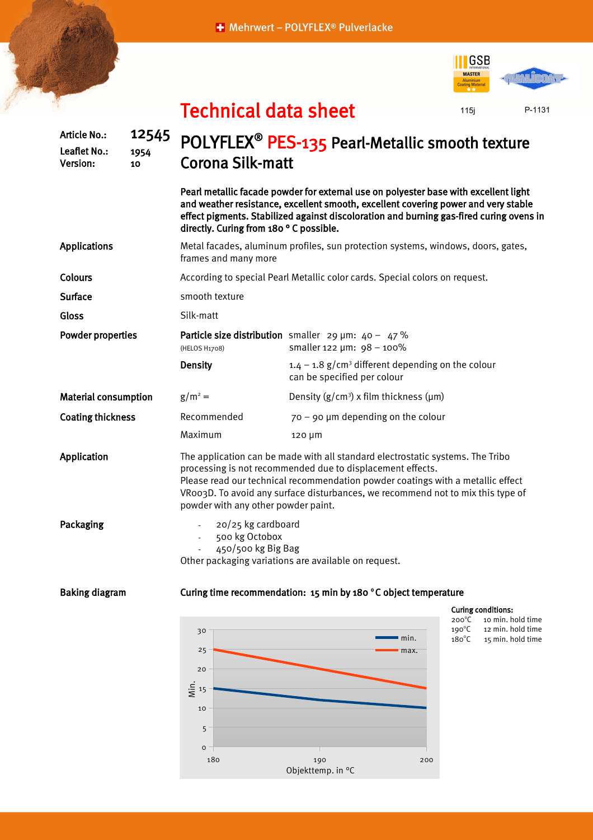+ Mehrwert - POLYFLEX® Pulverlacke





P-1131

## Technical data sheet

| <b>Article No.:</b><br>Leaflet No.:<br>Version: | 12545<br>1954<br>10 | POLYFLEX <sup>®</sup> PES-135 Pearl-Metallic smooth texture<br><b>Corona Silk-matt</b>                                                                                                                                                                                                                                                                    |                                                                                                                                                                                                                                                                       |                                                                              |  |
|-------------------------------------------------|---------------------|-----------------------------------------------------------------------------------------------------------------------------------------------------------------------------------------------------------------------------------------------------------------------------------------------------------------------------------------------------------|-----------------------------------------------------------------------------------------------------------------------------------------------------------------------------------------------------------------------------------------------------------------------|------------------------------------------------------------------------------|--|
|                                                 |                     | directly. Curing from 180°C possible.                                                                                                                                                                                                                                                                                                                     | Pearl metallic facade powder for external use on polyester base with excellent light<br>and weather resistance, excellent smooth, excellent covering power and very stable<br>effect pigments. Stabilized against discoloration and burning gas-fired curing ovens in |                                                                              |  |
| <b>Applications</b>                             |                     | Metal facades, aluminum profiles, sun protection systems, windows, doors, gates,<br>frames and many more                                                                                                                                                                                                                                                  |                                                                                                                                                                                                                                                                       |                                                                              |  |
| Colours                                         |                     | According to special Pearl Metallic color cards. Special colors on request.                                                                                                                                                                                                                                                                               |                                                                                                                                                                                                                                                                       |                                                                              |  |
| <b>Surface</b>                                  |                     | smooth texture                                                                                                                                                                                                                                                                                                                                            |                                                                                                                                                                                                                                                                       |                                                                              |  |
| Gloss                                           |                     | Silk-matt                                                                                                                                                                                                                                                                                                                                                 |                                                                                                                                                                                                                                                                       |                                                                              |  |
| <b>Powder properties</b>                        |                     | (HELOS H1708)                                                                                                                                                                                                                                                                                                                                             | Particle size distribution smaller 29 $\mu$ m: 40 - 47 %<br>smaller 122 $\mu$ m: 98 - 100%                                                                                                                                                                            |                                                                              |  |
|                                                 |                     | <b>Density</b>                                                                                                                                                                                                                                                                                                                                            | $1.4 - 1.8$ g/cm <sup>3</sup> different depending on the colour<br>can be specified per colour                                                                                                                                                                        |                                                                              |  |
| <b>Material consumption</b>                     |                     | $g/m^2 =$                                                                                                                                                                                                                                                                                                                                                 | Density $(g/cm^3)$ x film thickness ( $\mu$ m)                                                                                                                                                                                                                        |                                                                              |  |
| <b>Coating thickness</b>                        |                     | Recommended                                                                                                                                                                                                                                                                                                                                               | $70 - 90$ µm depending on the colour                                                                                                                                                                                                                                  |                                                                              |  |
|                                                 |                     | Maximum                                                                                                                                                                                                                                                                                                                                                   | $120 \mu m$                                                                                                                                                                                                                                                           |                                                                              |  |
| Application                                     |                     | The application can be made with all standard electrostatic systems. The Tribo<br>processing is not recommended due to displacement effects.<br>Please read our technical recommendation powder coatings with a metallic effect<br>VRoo3D. To avoid any surface disturbances, we recommend not to mix this type of<br>powder with any other powder paint. |                                                                                                                                                                                                                                                                       |                                                                              |  |
| Packaging                                       |                     | 20/25 kg cardboard<br>500 kg Octobox<br>450/500 kg Big Bag<br>Other packaging variations are available on request.                                                                                                                                                                                                                                        |                                                                                                                                                                                                                                                                       |                                                                              |  |
| <b>Baking diagram</b>                           |                     |                                                                                                                                                                                                                                                                                                                                                           | Curing time recommendation: 15 min by 180 °C object temperature                                                                                                                                                                                                       |                                                                              |  |
|                                                 |                     |                                                                                                                                                                                                                                                                                                                                                           |                                                                                                                                                                                                                                                                       | <b>Curing conditions:</b><br>$200^{\circ}$ C<br>10 min. hold time            |  |
|                                                 |                     | 30                                                                                                                                                                                                                                                                                                                                                        | min.                                                                                                                                                                                                                                                                  | $190^{\circ}$ C<br>12 min. hold time<br>$180^{\circ}$ C<br>15 min. hold time |  |
|                                                 |                     | 25                                                                                                                                                                                                                                                                                                                                                        | max.                                                                                                                                                                                                                                                                  |                                                                              |  |
|                                                 |                     | 20                                                                                                                                                                                                                                                                                                                                                        |                                                                                                                                                                                                                                                                       |                                                                              |  |
|                                                 |                     | $rac{1}{5}$ 15                                                                                                                                                                                                                                                                                                                                            |                                                                                                                                                                                                                                                                       |                                                                              |  |
|                                                 |                     | 10                                                                                                                                                                                                                                                                                                                                                        |                                                                                                                                                                                                                                                                       |                                                                              |  |

Objekttemp. in °C

0 5